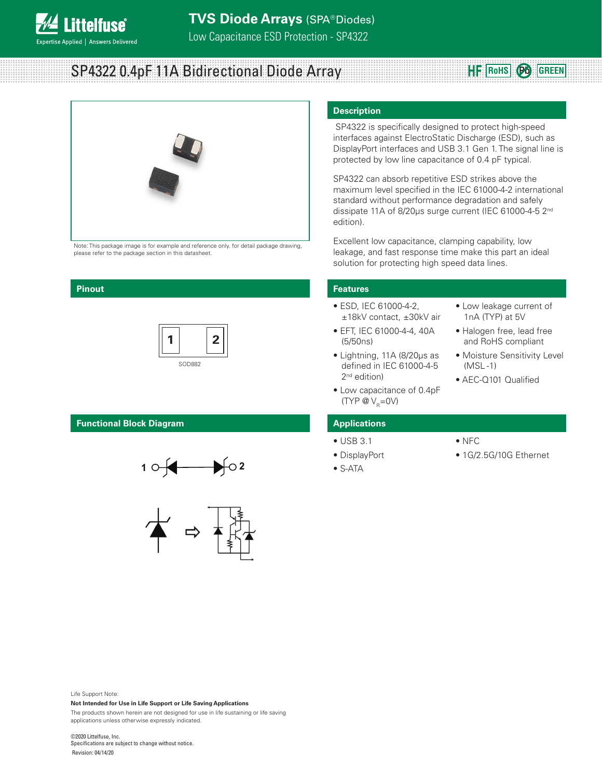

# SP4322 0.4pF 11A Bidirectional Diode Array



Note: This package image is for example and reference only. for detail package drawing, please refer to the package section in this datasheet.

### **Pinout**

**ittelfuse** 

**Expertise Applied | Answers Delivered** 



# **Functional Block Diagram**





# **Description**

 SP4322 is specifically designed to protect high-speed interfaces against ElectroStatic Discharge (ESD), such as DisplayPort interfaces and USB 3.1 Gen 1. The signal line is protected by low line capacitance of 0.4 pF typical.

SP4322 can absorb repetitive ESD strikes above the maximum level specified in the IEC 61000-4-2 international standard without performance degradation and safely dissipate 11A of 8/20μs surge current (IEC 61000-4-5 2nd edition).

Excellent low capacitance, clamping capability, low leakage, and fast response time make this part an ideal solution for protecting high speed data lines.

### **Features**

- ESD, IEC 61000-4-2, ±18kV contact, ±30kV air
- EFT, IEC 61000-4-4, 40A (5/50ns)
- Lightning, 11A (8/20μs as defined in IEC 61000-4-5 2<sup>nd</sup> edition)
- Low capacitance of 0.4pF (TYP  $\mathcal{Q}V_{\mathsf{R}}=0V$ )
- Low leakage current of 1nA (TYP) at 5V

**RoHS Pb GREEN**

- Halogen free, lead free and RoHS compliant
- Moisture Sensitivity Level (MSL -1)
- AEC-Q101 Qualified

### **Applications**

- USB 3.1
- DisplayPort
- S-ATA
- NFC
- 1G/2.5G/10G Ethernet

Life Support Note:

**Not Intended for Use in Life Support or Life Saving Applications** The products shown herein are not designed for use in life sustaining or life saving

applications unless otherwise expressly indicated.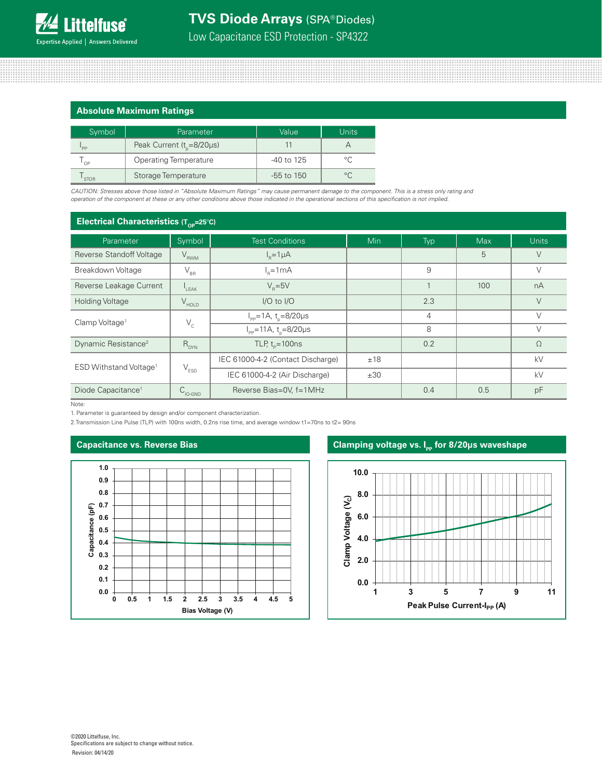# **Absolute Maximum Ratings**

| Symbol      | Parameter                           | Value        | Units   |
|-------------|-------------------------------------|--------------|---------|
| 'PP         | Peak Current $(t_{n} = 8/20 \mu s)$ |              |         |
| OP          | <b>Operating Temperature</b>        | -40 to 125   | $\circ$ |
| <b>STOR</b> | Storage Temperature                 | $-55$ to 150 |         |

*CAUTION: Stresses above those listed in "Absolute Maximum Ratings" may cause permanent damage to the component. This is a stress only rating and operation of the component at these or any other conditions above those indicated in the operational sections of this specification is not implied.*

# **Electrical Characteristics (T<sub>OP</sub>=25°C)**

| Parameter                          | Symbol                         | <b>Test Conditions</b>                           | <b>Min</b> | Typ | <b>Max</b> | <b>Units</b> |
|------------------------------------|--------------------------------|--------------------------------------------------|------------|-----|------------|--------------|
| Reverse Standoff Voltage           | $V_{RWM}$                      | $I_p = 1 \mu A$                                  |            |     | 5          | $\vee$       |
| Breakdown Voltage                  | $\mathsf{V}_{\text{\tiny BR}}$ | $I_R = 1mA$                                      |            |     |            | $\vee$       |
| Reverse Leakage Current            | LEAK                           | $V_{p} = 5V$                                     |            | 1   | 100        | nA           |
| <b>Holding Voltage</b>             | $V_{HOLD}$                     | I/O to I/O                                       |            | 2.3 |            | $\vee$       |
| Clamp Voltage <sup>1</sup>         | $V_c$                          | $I_{\rm pp} = 1A$ , t <sub>p</sub> =8/20µs       |            | 4   |            | $\vee$       |
|                                    |                                | $I_{\text{pp}} = 11A, t_{\text{n}} = 8/20 \mu s$ |            | 8   |            | $\vee$       |
| Dynamic Resistance <sup>2</sup>    | $R_{DYN}$                      | TLP, $t_p = 100$ ns                              |            | 0.2 |            | $\Omega$     |
| ESD Withstand Voltage <sup>1</sup> | $\mathsf{V}_{\texttt{ESD}}$    | IEC 61000-4-2 (Contact Discharge)                | ±18        |     |            | kV           |
|                                    |                                | IEC 61000-4-2 (Air Discharge)                    | ±30        |     |            | kV           |
| Diode Capacitance <sup>1</sup>     | $C_{\text{IO-GND}}$            | Reverse Bias=0V, f=1MHz                          |            | 0.4 | 0.5        | pF           |

Note:

1. Parameter is guaranteed by design and/or component characterization.

2.Transmission Line Pulse (TLP) with 100ns width, 0.2ns rise time, and average window t1=70ns to t2= 90ns



### **Capacitance vs. Reverse Bias Clamping voltage vs. I<sub>nn</sub> for 8/20µs waveshape**

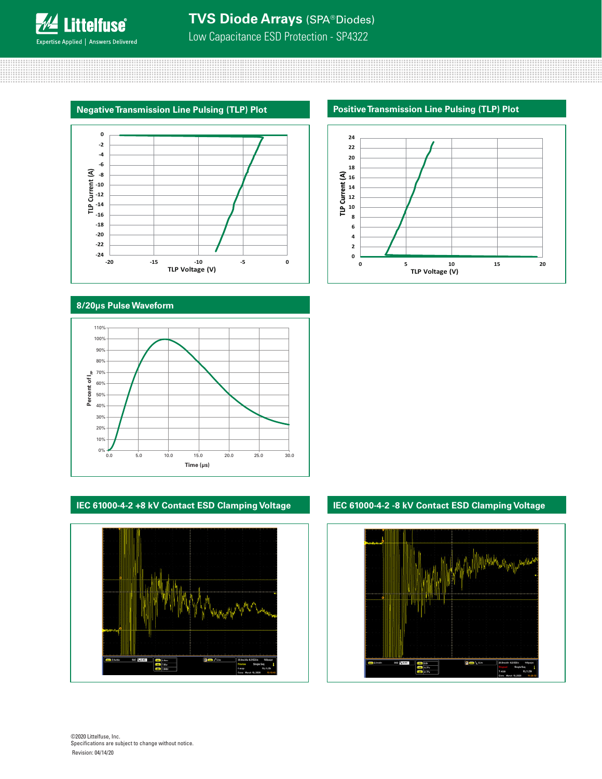**Littelfuse**® Expertise Applied | Answers Delivered



# **8/20μs Pulse Waveform**



# **IEC 61000-4-2 +8 kV Contact ESD Clamping Voltage**







# **IEC 61000-4-2 -8 kV Contact ESD Clamping Voltage**

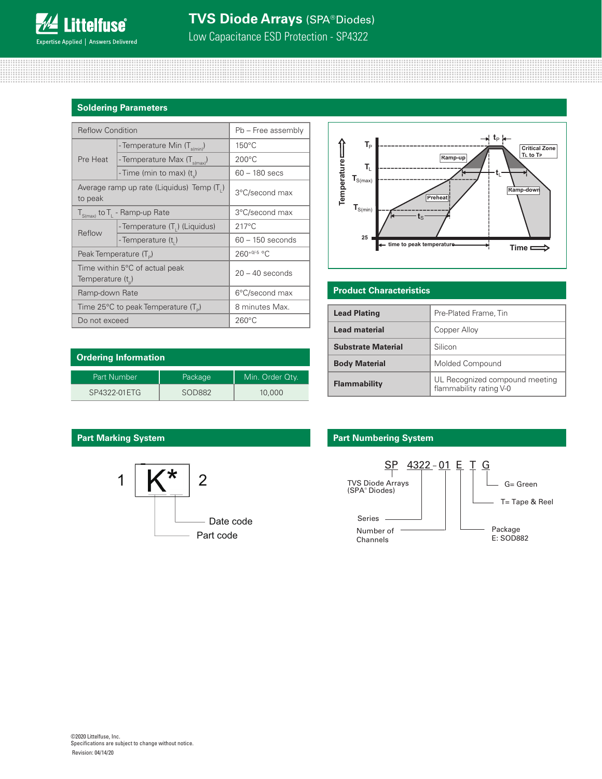# **Soldering Parameters**

| <b>Reflow Condition</b>                               |                                                           | Pb - Free assembly |  |  |
|-------------------------------------------------------|-----------------------------------------------------------|--------------------|--|--|
| Pre Heat                                              | - Temperature Min $(T_{\text{s/min}})$                    | $150^{\circ}$ C    |  |  |
|                                                       | - Temperature Max (T <sub>s(max)</sub> )                  | $200^{\circ}$ C    |  |  |
|                                                       | - Time (min to max) (t)                                   | $60 - 180$ secs    |  |  |
| to peak                                               | Average ramp up rate (Liquidus) Temp (T <sub>1</sub> )    | 3°C/second max     |  |  |
|                                                       | $T_{S(max)}$ to $T_{L}$ - Ramp-up Rate                    | 3°C/second max     |  |  |
|                                                       | - Temperature (T <sub>1</sub> ) (Liquidus)                | $217^{\circ}$ C    |  |  |
| Reflow                                                | - Temperature (t,)                                        | $60 - 150$ seconds |  |  |
| Peak Temperature $(T_p)$                              |                                                           | $260^{+0/5}$ °C    |  |  |
| Time within 5°C of actual peak<br>Temperature $(t_n)$ |                                                           | $20 - 40$ seconds  |  |  |
| Ramp-down Rate                                        |                                                           | 6°C/second max     |  |  |
|                                                       | Time 25 $\degree$ C to peak Temperature (T <sub>o</sub> ) | 8 minutes Max.     |  |  |
| Do not exceed                                         |                                                           | $260^{\circ}$ C    |  |  |



# **Product Characteristics**

| <b>Lead Plating</b>       | Pre-Plated Frame, Tin                                     |
|---------------------------|-----------------------------------------------------------|
| <b>Lead material</b>      | Copper Alloy                                              |
| <b>Substrate Material</b> | Silicon                                                   |
| <b>Body Material</b>      | Molded Compound                                           |
| <b>Flammability</b>       | UL Recognized compound meeting<br>flammability rating V-0 |

| <b>Ordering Information</b> |         |                 |  |  |
|-----------------------------|---------|-----------------|--|--|
| Part Number                 | Package | Min. Order Qty. |  |  |
| SP4322-01 ETG               | SOD882  | 10,000          |  |  |



# **Part Marking System Part Mumbering System**